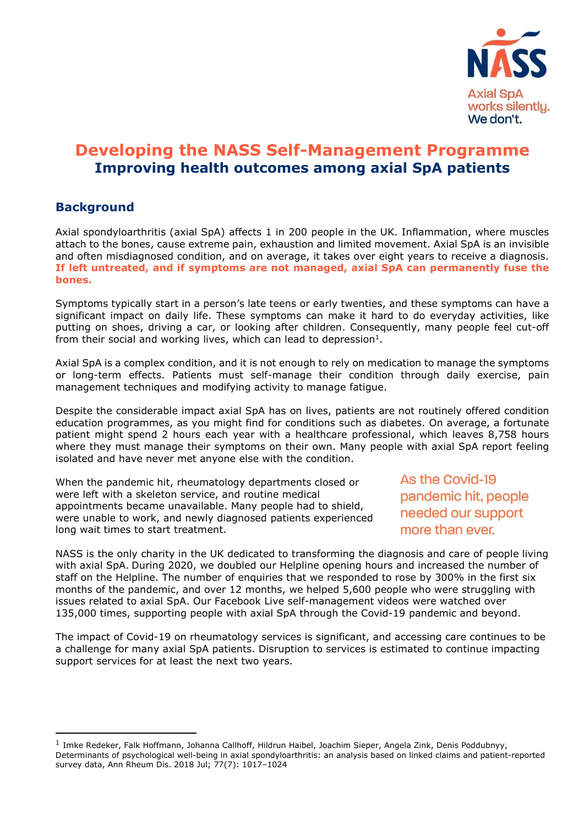

# Developing the NASS Self-Management Programme Improving health outcomes among axial SpA patients

# **Background**

Axial spondyloarthritis (axial SpA) affects 1 in 200 people in the UK. Inflammation, where muscles attach to the bones, cause extreme pain, exhaustion and limited movement. Axial SpA is an invisible and often misdiagnosed condition, and on average, it takes over eight years to receive a diagnosis. If left untreated, and if symptoms are not managed, axial SpA can permanently fuse the bones.

Symptoms typically start in a person's late teens or early twenties, and these symptoms can have a significant impact on daily life. These symptoms can make it hard to do everyday activities, like putting on shoes, driving a car, or looking after children. Consequently, many people feel cut-off from their social and working lives, which can lead to depression<sup>1</sup>.

Axial SpA is a complex condition, and it is not enough to rely on medication to manage the symptoms or long-term effects. Patients must self-manage their condition through daily exercise, pain management techniques and modifying activity to manage fatigue.

Despite the considerable impact axial SpA has on lives, patients are not routinely offered condition education programmes, as you might find for conditions such as diabetes. On average, a fortunate patient might spend 2 hours each year with a healthcare professional, which leaves 8,758 hours where they must manage their symptoms on their own. Many people with axial SpA report feeling isolated and have never met anyone else with the condition.

When the pandemic hit, rheumatology departments closed or were left with a skeleton service, and routine medical appointments became unavailable. Many people had to shield, were unable to work, and newly diagnosed patients experienced long wait times to start treatment.

As the Covid-19 pandemic hit, people needed our support more than ever.

NASS is the only charity in the UK dedicated to transforming the diagnosis and care of people living with axial SpA. During 2020, we doubled our Helpline opening hours and increased the number of staff on the Helpline. The number of enquiries that we responded to rose by 300% in the first six months of the pandemic, and over 12 months, we helped 5,600 people who were struggling with issues related to axial SpA. Our Facebook Live self-management videos were watched over 135,000 times, supporting people with axial SpA through the Covid-19 pandemic and beyond.

The impact of Covid-19 on rheumatology services is significant, and accessing care continues to be a challenge for many axial SpA patients. Disruption to services is estimated to continue impacting support services for at least the next two years.

<sup>&</sup>lt;sup>1</sup> Imke Redeker, Falk Hoffmann, Johanna Callhoff, Hildrun Haibel, Joachim Sieper, Angela Zink, Denis Poddubnyy, Determinants of psychological well-being in axial spondyloarthritis: an analysis based on linked claims and patient-reported survey data, Ann Rheum Dis. 2018 Jul; 77(7): 1017–1024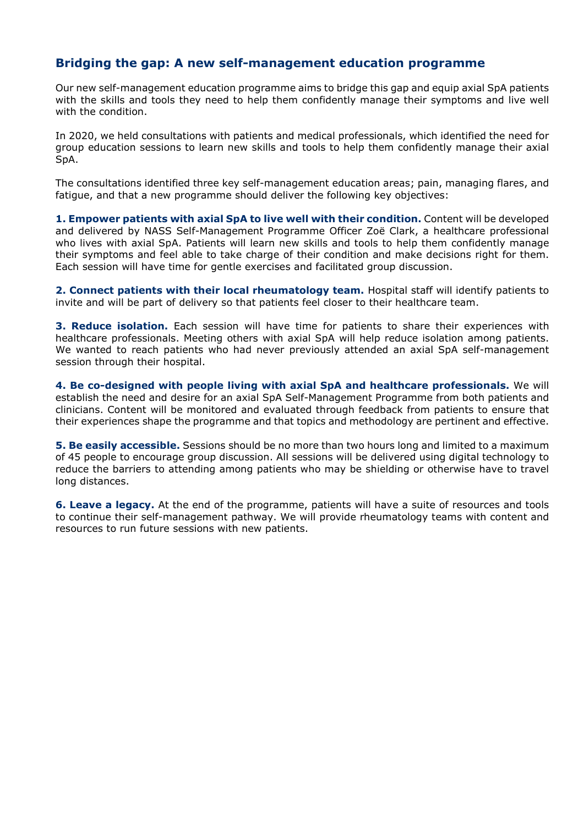# Bridging the gap: A new self-management education programme

Our new self-management education programme aims to bridge this gap and equip axial SpA patients with the skills and tools they need to help them confidently manage their symptoms and live well with the condition.

In 2020, we held consultations with patients and medical professionals, which identified the need for group education sessions to learn new skills and tools to help them confidently manage their axial SpA.

The consultations identified three key self-management education areas; pain, managing flares, and fatigue, and that a new programme should deliver the following key objectives:

1. Empower patients with axial SpA to live well with their condition. Content will be developed and delivered by NASS Self-Management Programme Officer Zoë Clark, a healthcare professional who lives with axial SpA. Patients will learn new skills and tools to help them confidently manage their symptoms and feel able to take charge of their condition and make decisions right for them. Each session will have time for gentle exercises and facilitated group discussion.

2. Connect patients with their local rheumatology team. Hospital staff will identify patients to invite and will be part of delivery so that patients feel closer to their healthcare team.

3. Reduce isolation. Each session will have time for patients to share their experiences with healthcare professionals. Meeting others with axial SpA will help reduce isolation among patients. We wanted to reach patients who had never previously attended an axial SpA self-management session through their hospital.

4. Be co-designed with people living with axial SpA and healthcare professionals. We will establish the need and desire for an axial SpA Self-Management Programme from both patients and clinicians. Content will be monitored and evaluated through feedback from patients to ensure that their experiences shape the programme and that topics and methodology are pertinent and effective.

**5. Be easily accessible.** Sessions should be no more than two hours long and limited to a maximum of 45 people to encourage group discussion. All sessions will be delivered using digital technology to reduce the barriers to attending among patients who may be shielding or otherwise have to travel long distances.

6. Leave a legacy. At the end of the programme, patients will have a suite of resources and tools to continue their self-management pathway. We will provide rheumatology teams with content and resources to run future sessions with new patients.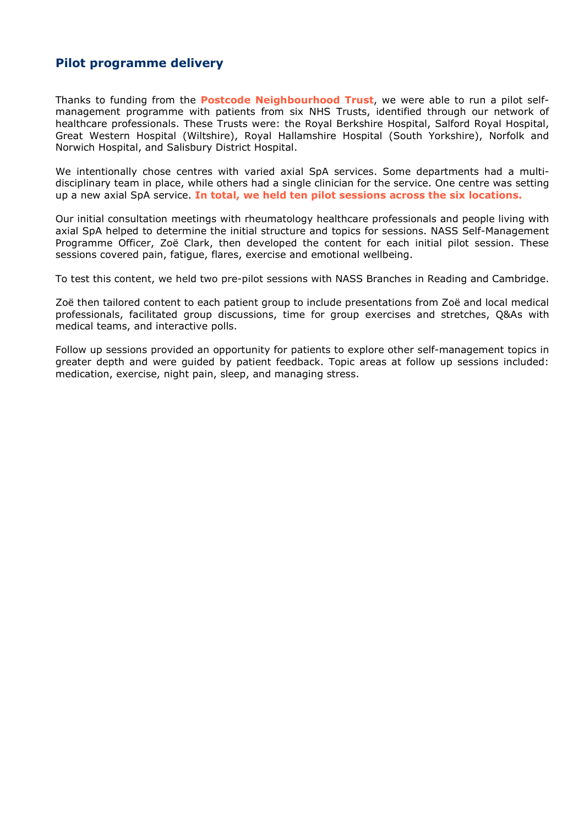# Pilot programme delivery

Thanks to funding from the **Postcode Neighbourhood Trust**, we were able to run a pilot selfmanagement programme with patients from six NHS Trusts, identified through our network of healthcare professionals. These Trusts were: the Royal Berkshire Hospital, Salford Royal Hospital, Great Western Hospital (Wiltshire), Royal Hallamshire Hospital (South Yorkshire), Norfolk and Norwich Hospital, and Salisbury District Hospital.

We intentionally chose centres with varied axial SpA services. Some departments had a multidisciplinary team in place, while others had a single clinician for the service. One centre was setting up a new axial SpA service. In total, we held ten pilot sessions across the six locations.

Our initial consultation meetings with rheumatology healthcare professionals and people living with axial SpA helped to determine the initial structure and topics for sessions. NASS Self-Management Programme Officer, Zoë Clark, then developed the content for each initial pilot session. These sessions covered pain, fatigue, flares, exercise and emotional wellbeing.

To test this content, we held two pre-pilot sessions with NASS Branches in Reading and Cambridge.

Zoë then tailored content to each patient group to include presentations from Zoë and local medical professionals, facilitated group discussions, time for group exercises and stretches, Q&As with medical teams, and interactive polls.

Follow up sessions provided an opportunity for patients to explore other self-management topics in greater depth and were guided by patient feedback. Topic areas at follow up sessions included: medication, exercise, night pain, sleep, and managing stress.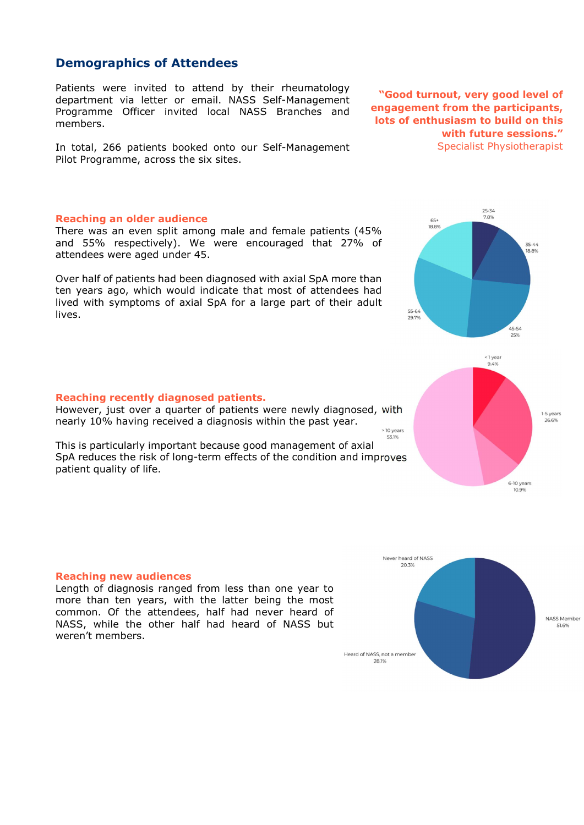### Demographics of Attendees

Patients were invited to attend by their rheumatology department via letter or email. NASS Self-Management Programme Officer invited local NASS Branches and members.

In total, 266 patients booked onto our Self-Management Pilot Programme, across the six sites.

#### Reaching an older audience

There was an even split among male and female patients (45% and 55% respectively). We were encouraged that 27% of attendees were aged under 45.

Over half of patients had been diagnosed with axial SpA more than ten years ago, which would indicate that most of attendees had lived with symptoms of axial SpA for a large part of their adult lives.

#### Reaching recently diagnosed patients.

However, just over a quarter of patients were newly diagnosed, with nearly 10% having received a diagnosis within the past year.

This is particularly important because good management of axial SpA reduces the risk of long-term effects of the condition and improves patient quality of life.

#### Reaching new audiences

Length of diagnosis ranged from less than one year to more than ten years, with the latter being the most common. Of the attendees, half had never heard of NASS, while the other half had heard of NASS but weren't members.



 $25 - 34$ 7.8%

> $35 - 44$ 18.8%







 $65+$ 

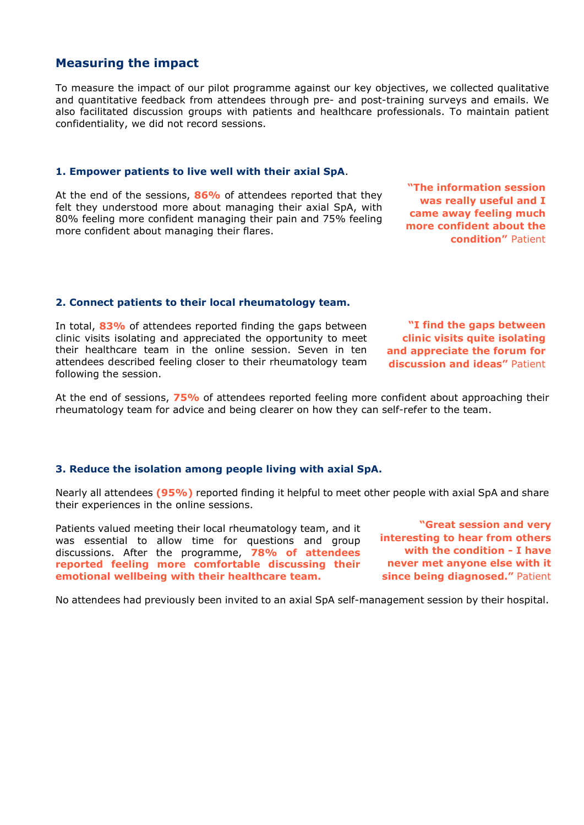# Measuring the impact

To measure the impact of our pilot programme against our key objectives, we collected qualitative and quantitative feedback from attendees through pre- and post-training surveys and emails. We also facilitated discussion groups with patients and healthcare professionals. To maintain patient confidentiality, we did not record sessions.

#### 1. Empower patients to live well with their axial SpA.

At the end of the sessions, 86% of attendees reported that they felt they understood more about managing their axial SpA, with 80% feeling more confident managing their pain and 75% feeling more confident about managing their flares.

"The information session was really useful and I came away feeling much more confident about the condition" Patient

### 2. Connect patients to their local rheumatology team.

In total, 83% of attendees reported finding the gaps between clinic visits isolating and appreciated the opportunity to meet their healthcare team in the online session. Seven in ten attendees described feeling closer to their rheumatology team following the session.

"I find the gaps between clinic visits quite isolating and appreciate the forum for discussion and ideas" Patient

At the end of sessions, 75% of attendees reported feeling more confident about approaching their rheumatology team for advice and being clearer on how they can self-refer to the team.

#### 3. Reduce the isolation among people living with axial SpA.

Nearly all attendees (95%) reported finding it helpful to meet other people with axial SpA and share their experiences in the online sessions.

Patients valued meeting their local rheumatology team, and it was essential to allow time for questions and group discussions. After the programme, 78% of attendees reported feeling more comfortable discussing their emotional wellbeing with their healthcare team.

"Great session and very interesting to hear from others with the condition - I have never met anyone else with it since being diagnosed." Patient

No attendees had previously been invited to an axial SpA self-management session by their hospital.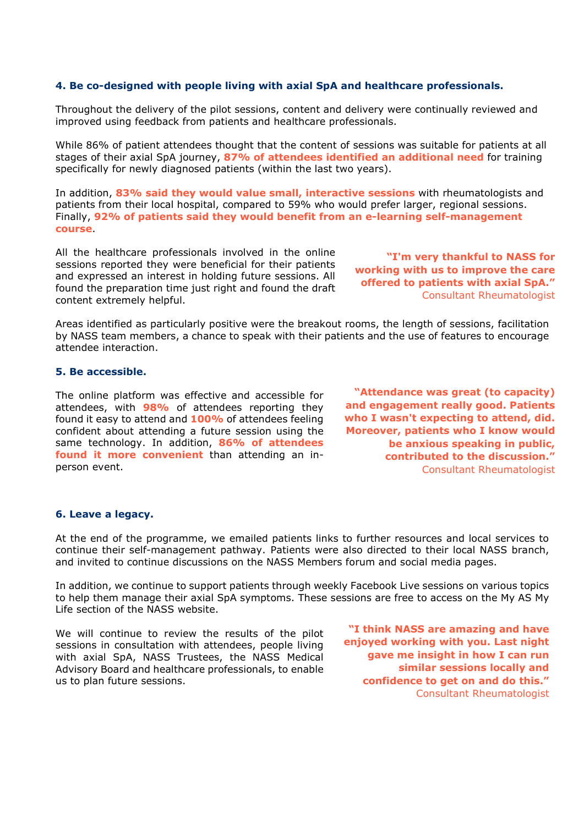#### 4. Be co-designed with people living with axial SpA and healthcare professionals.

Throughout the delivery of the pilot sessions, content and delivery were continually reviewed and improved using feedback from patients and healthcare professionals.

While 86% of patient attendees thought that the content of sessions was suitable for patients at all stages of their axial SpA journey, 87% of attendees identified an additional need for training specifically for newly diagnosed patients (within the last two years).

In addition, 83% said they would value small, interactive sessions with rheumatologists and patients from their local hospital, compared to 59% who would prefer larger, regional sessions. Finally, 92% of patients said they would benefit from an e-learning self-management course.

All the healthcare professionals involved in the online sessions reported they were beneficial for their patients and expressed an interest in holding future sessions. All found the preparation time just right and found the draft content extremely helpful.

"I'm very thankful to NASS for working with us to improve the care offered to patients with axial SpA." Consultant Rheumatologist

Areas identified as particularly positive were the breakout rooms, the length of sessions, facilitation by NASS team members, a chance to speak with their patients and the use of features to encourage attendee interaction.

#### 5. Be accessible.

The online platform was effective and accessible for attendees, with **98%** of attendees reporting they found it easy to attend and 100% of attendees feeling confident about attending a future session using the same technology. In addition, 86% of attendees found it more convenient than attending an inperson event.

"Attendance was great (to capacity) and engagement really good. Patients who I wasn't expecting to attend, did. Moreover, patients who I know would be anxious speaking in public, contributed to the discussion." Consultant Rheumatologist

#### 6. Leave a legacy.

At the end of the programme, we emailed patients links to further resources and local services to continue their self-management pathway. Patients were also directed to their local NASS branch, and invited to continue discussions on the NASS Members forum and social media pages.

In addition, we continue to support patients through weekly Facebook Live sessions on various topics to help them manage their axial SpA symptoms. These sessions are free to access on the My AS My Life section of the NASS website.

We will continue to review the results of the pilot sessions in consultation with attendees, people living with axial SpA, NASS Trustees, the NASS Medical Advisory Board and healthcare professionals, to enable us to plan future sessions.

"I think NASS are amazing and have enjoyed working with you. Last night gave me insight in how I can run similar sessions locally and confidence to get on and do this." Consultant Rheumatologist